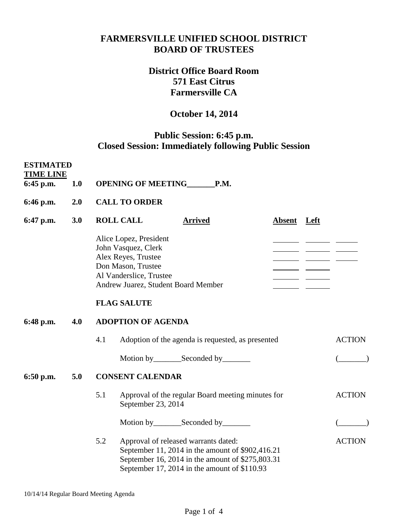## **FARMERSVILLE UNIFIED SCHOOL DISTRICT BOARD OF TRUSTEES**

# **District Office Board Room 571 East Citrus Farmersville CA**

## **October 14, 2014**

# **Public Session: 6:45 p.m. Closed Session: Immediately following Public Session**

| <b>ESTIMATED</b><br><b>TIME LINE</b><br>6:45 p.m. | <b>1.0</b> | OPENING OF MEETING_______P.M.                                                                                                                                                                       |               |
|---------------------------------------------------|------------|-----------------------------------------------------------------------------------------------------------------------------------------------------------------------------------------------------|---------------|
| 6:46 p.m.                                         | 2.0        | <b>CALL TO ORDER</b>                                                                                                                                                                                |               |
| 6:47 p.m.                                         | 3.0        | <b>ROLL CALL</b><br><b>Arrived</b><br>Absent Left                                                                                                                                                   |               |
|                                                   |            | Alice Lopez, President<br>John Vasquez, Clerk<br>Alex Reyes, Trustee<br>Don Mason, Trustee<br>Al Vanderslice, Trustee<br>Andrew Juarez, Student Board Member                                        |               |
|                                                   |            | <b>FLAG SALUTE</b>                                                                                                                                                                                  |               |
| 6:48 p.m.                                         | 4.0        | <b>ADOPTION OF AGENDA</b>                                                                                                                                                                           |               |
|                                                   |            | 4.1<br>Adoption of the agenda is requested, as presented                                                                                                                                            | <b>ACTION</b> |
|                                                   |            |                                                                                                                                                                                                     |               |
| 6:50 p.m.                                         | 5.0        | <b>CONSENT CALENDAR</b>                                                                                                                                                                             |               |
|                                                   |            | 5.1<br>Approval of the regular Board meeting minutes for<br>September 23, 2014                                                                                                                      | <b>ACTION</b> |
|                                                   |            | Motion by _________ Seconded by _________                                                                                                                                                           |               |
|                                                   |            | 5.2<br>Approval of released warrants dated:<br>September 11, 2014 in the amount of \$902,416.21<br>September 16, 2014 in the amount of \$275,803.31<br>September 17, 2014 in the amount of \$110.93 | <b>ACTION</b> |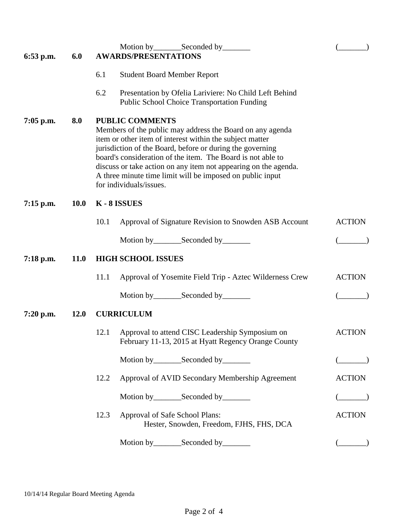| 6:53 p.m.   | 6.0         | Motion by__________Seconded by__________<br><b>AWARDS/PRESENTATIONS</b>                                                                                                                                                                                                                                                                                                                                                                |               |  |
|-------------|-------------|----------------------------------------------------------------------------------------------------------------------------------------------------------------------------------------------------------------------------------------------------------------------------------------------------------------------------------------------------------------------------------------------------------------------------------------|---------------|--|
|             |             | 6.1<br><b>Student Board Member Report</b>                                                                                                                                                                                                                                                                                                                                                                                              |               |  |
|             |             | 6.2<br>Presentation by Ofelia Lariviere: No Child Left Behind<br><b>Public School Choice Transportation Funding</b>                                                                                                                                                                                                                                                                                                                    |               |  |
| $7:05$ p.m. | 8.0         | <b>PUBLIC COMMENTS</b><br>Members of the public may address the Board on any agenda<br>item or other item of interest within the subject matter<br>jurisdiction of the Board, before or during the governing<br>board's consideration of the item. The Board is not able to<br>discuss or take action on any item not appearing on the agenda.<br>A three minute time limit will be imposed on public input<br>for individuals/issues. |               |  |
| $7:15$ p.m. | <b>10.0</b> | K-8 ISSUES                                                                                                                                                                                                                                                                                                                                                                                                                             |               |  |
|             |             | 10.1<br>Approval of Signature Revision to Snowden ASB Account                                                                                                                                                                                                                                                                                                                                                                          | <b>ACTION</b> |  |
|             |             |                                                                                                                                                                                                                                                                                                                                                                                                                                        |               |  |
| $7:18$ p.m. | <b>11.0</b> | <b>HIGH SCHOOL ISSUES</b>                                                                                                                                                                                                                                                                                                                                                                                                              |               |  |
|             |             | Approval of Yosemite Field Trip - Aztec Wilderness Crew<br>11.1                                                                                                                                                                                                                                                                                                                                                                        | <b>ACTION</b> |  |
|             |             | Motion by_________Seconded by________                                                                                                                                                                                                                                                                                                                                                                                                  |               |  |
| $7:20$ p.m. | 12.0        | <b>CURRICULUM</b>                                                                                                                                                                                                                                                                                                                                                                                                                      |               |  |
|             |             | Approval to attend CISC Leadership Symposium on<br>12.1<br>February 11-13, 2015 at Hyatt Regency Orange County                                                                                                                                                                                                                                                                                                                         | <b>ACTION</b> |  |
|             |             | Motion by__________Seconded by_________                                                                                                                                                                                                                                                                                                                                                                                                |               |  |
|             |             | 12.2<br>Approval of AVID Secondary Membership Agreement                                                                                                                                                                                                                                                                                                                                                                                | <b>ACTION</b> |  |
|             |             | Motion by __________ Seconded by _________                                                                                                                                                                                                                                                                                                                                                                                             |               |  |
|             |             | 12.3<br>Approval of Safe School Plans:<br>Hester, Snowden, Freedom, FJHS, FHS, DCA                                                                                                                                                                                                                                                                                                                                                     | <b>ACTION</b> |  |
|             |             |                                                                                                                                                                                                                                                                                                                                                                                                                                        |               |  |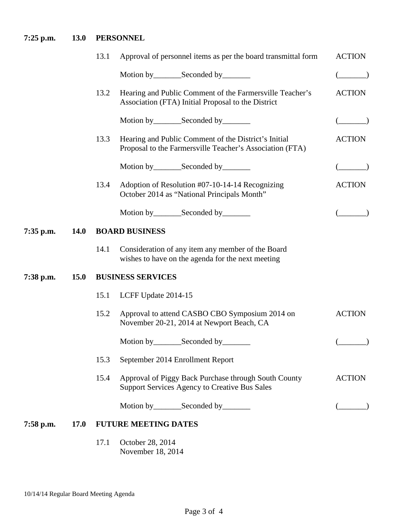## **7:25 p.m. 13.0 PERSONNEL**

|           |             | 13.1                     | Approval of personnel items as per the board transmittal form                                                    | <b>ACTION</b> |  |  |  |
|-----------|-------------|--------------------------|------------------------------------------------------------------------------------------------------------------|---------------|--|--|--|
|           |             |                          |                                                                                                                  |               |  |  |  |
|           |             | 13.2                     | Hearing and Public Comment of the Farmersville Teacher's<br>Association (FTA) Initial Proposal to the District   | <b>ACTION</b> |  |  |  |
|           |             |                          |                                                                                                                  |               |  |  |  |
|           |             | 13.3                     | Hearing and Public Comment of the District's Initial<br>Proposal to the Farmersville Teacher's Association (FTA) | <b>ACTION</b> |  |  |  |
|           |             |                          | Motion by __________ Seconded by _________                                                                       |               |  |  |  |
|           |             | 13.4                     | Adoption of Resolution #07-10-14-14 Recognizing<br>October 2014 as "National Principals Month"                   | <b>ACTION</b> |  |  |  |
|           |             |                          | Motion by__________Seconded by_________                                                                          |               |  |  |  |
| 7:35 p.m. | <b>14.0</b> | <b>BOARD BUSINESS</b>    |                                                                                                                  |               |  |  |  |
|           |             | 14.1                     | Consideration of any item any member of the Board<br>wishes to have on the agenda for the next meeting           |               |  |  |  |
| 7:38 p.m. | 15.0        | <b>BUSINESS SERVICES</b> |                                                                                                                  |               |  |  |  |
|           |             | 15.1                     | LCFF Update 2014-15                                                                                              |               |  |  |  |
|           |             | 15.2                     | Approval to attend CASBO CBO Symposium 2014 on<br>November 20-21, 2014 at Newport Beach, CA                      | <b>ACTION</b> |  |  |  |
|           |             |                          |                                                                                                                  |               |  |  |  |
|           |             | 15.3                     | September 2014 Enrollment Report                                                                                 |               |  |  |  |
|           |             | 15.4                     | Approval of Piggy Back Purchase through South County<br><b>Support Services Agency to Creative Bus Sales</b>     | <b>ACTION</b> |  |  |  |
|           |             |                          | Motion by __________ Seconded by _________                                                                       |               |  |  |  |
| 7:58 p.m. | <b>17.0</b> |                          | <b>FUTURE MEETING DATES</b>                                                                                      |               |  |  |  |
|           |             |                          |                                                                                                                  |               |  |  |  |

#### 17.1 October 28, 2014 November 18, 2014